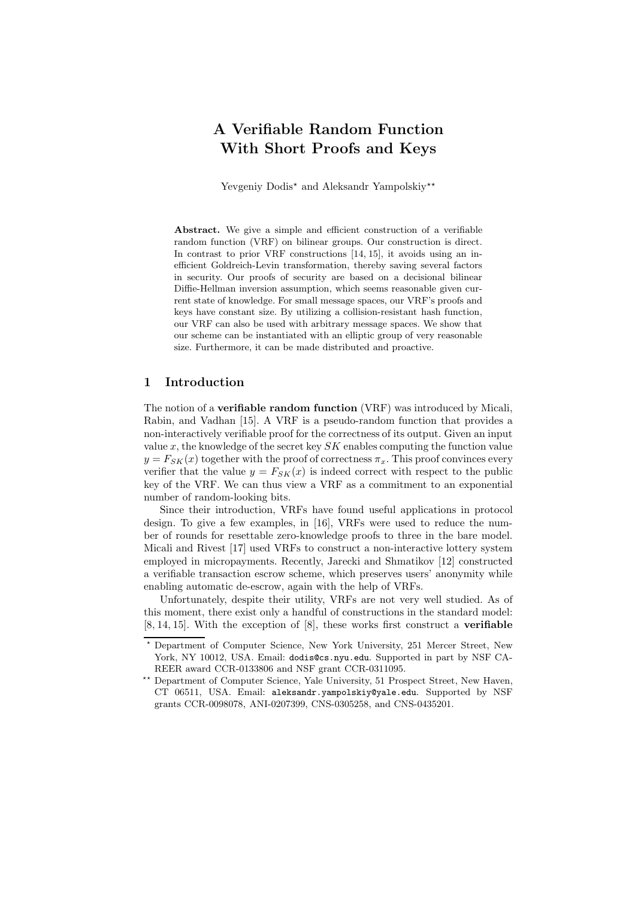# A Verifiable Random Function With Short Proofs and Keys

Yevgeniy Dodis<sup>\*</sup> and Aleksandr Yampolskiy<sup>\*\*</sup>

Abstract. We give a simple and efficient construction of a verifiable random function (VRF) on bilinear groups. Our construction is direct. In contrast to prior VRF constructions [14, 15], it avoids using an inefficient Goldreich-Levin transformation, thereby saving several factors in security. Our proofs of security are based on a decisional bilinear Diffie-Hellman inversion assumption, which seems reasonable given current state of knowledge. For small message spaces, our VRF's proofs and keys have constant size. By utilizing a collision-resistant hash function, our VRF can also be used with arbitrary message spaces. We show that our scheme can be instantiated with an elliptic group of very reasonable size. Furthermore, it can be made distributed and proactive.

# 1 Introduction

The notion of a verifiable random function (VRF) was introduced by Micali, Rabin, and Vadhan [15]. A VRF is a pseudo-random function that provides a non-interactively verifiable proof for the correctness of its output. Given an input value  $x$ , the knowledge of the secret key  $SK$  enables computing the function value  $y = F_{SK}(x)$  together with the proof of correctness  $\pi_x$ . This proof convinces every verifier that the value  $y = F_{SK}(x)$  is indeed correct with respect to the public key of the VRF. We can thus view a VRF as a commitment to an exponential number of random-looking bits.

Since their introduction, VRFs have found useful applications in protocol design. To give a few examples, in [16], VRFs were used to reduce the number of rounds for resettable zero-knowledge proofs to three in the bare model. Micali and Rivest [17] used VRFs to construct a non-interactive lottery system employed in micropayments. Recently, Jarecki and Shmatikov [12] constructed a verifiable transaction escrow scheme, which preserves users' anonymity while enabling automatic de-escrow, again with the help of VRFs.

Unfortunately, despite their utility, VRFs are not very well studied. As of this moment, there exist only a handful of constructions in the standard model: [8, 14, 15]. With the exception of [8], these works first construct a verifiable

<sup>?</sup> Department of Computer Science, New York University, 251 Mercer Street, New York, NY 10012, USA. Email: dodis@cs.nyu.edu. Supported in part by NSF CA-REER award CCR-0133806 and NSF grant CCR-0311095.

<sup>\*\*</sup> Department of Computer Science, Yale University, 51 Prospect Street, New Haven, CT 06511, USA. Email: aleksandr.yampolskiy@yale.edu. Supported by NSF grants CCR-0098078, ANI-0207399, CNS-0305258, and CNS-0435201.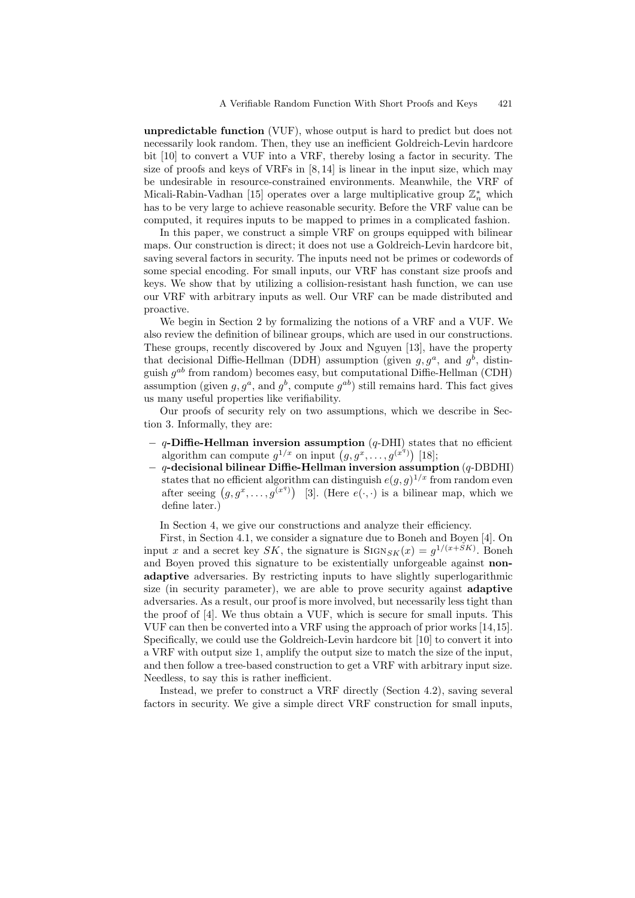unpredictable function (VUF), whose output is hard to predict but does not necessarily look random. Then, they use an inefficient Goldreich-Levin hardcore bit [10] to convert a VUF into a VRF, thereby losing a factor in security. The size of proofs and keys of VRFs in [8, 14] is linear in the input size, which may be undesirable in resource-constrained environments. Meanwhile, the VRF of Micali-Rabin-Vadhan [15] operates over a large multiplicative group  $\mathbb{Z}_n^*$  which has to be very large to achieve reasonable security. Before the VRF value can be computed, it requires inputs to be mapped to primes in a complicated fashion.

In this paper, we construct a simple VRF on groups equipped with bilinear maps. Our construction is direct; it does not use a Goldreich-Levin hardcore bit, saving several factors in security. The inputs need not be primes or codewords of some special encoding. For small inputs, our VRF has constant size proofs and keys. We show that by utilizing a collision-resistant hash function, we can use our VRF with arbitrary inputs as well. Our VRF can be made distributed and proactive.

We begin in Section 2 by formalizing the notions of a VRF and a VUF. We also review the definition of bilinear groups, which are used in our constructions. These groups, recently discovered by Joux and Nguyen [13], have the property that decisional Diffie-Hellman (DDH) assumption (given  $g, g^a$ , and  $g^b$ , distinguish  $g^{ab}$  from random) becomes easy, but computational Diffie-Hellman (CDH) assumption (given  $g, g^a$ , and  $g^b$ , compute  $g^{ab}$ ) still remains hard. This fact gives us many useful properties like verifiability.

Our proofs of security rely on two assumptions, which we describe in Section 3. Informally, they are:

- $q$ -Diffie-Hellman inversion assumption  $(q$ -DHI) states that no efficient algorithm can compute  $g^{1/x}$  on input  $(g, g^x, \ldots, g^{(x^q)})$  [18];
- $q$ -decisional bilinear Diffie-Hellman inversion assumption  $(q$ -DBDHI) states that no efficient algorithm can distinguish  $e(g, g)^{1/x}$  from random even after seeing  $(g, g^x, \ldots, g^{(x^q)})$  [3]. (Here  $e(\cdot, \cdot)$  is a bilinear map, which we define later.)

In Section 4, we give our constructions and analyze their efficiency.

First, in Section 4.1, we consider a signature due to Boneh and Boyen [4]. On input x and a secret key SK, the signature is  $\text{SIGN}_{SK}(x) = g^{1/(x+SK)}$ . Boneh and Boyen proved this signature to be existentially unforgeable against nonadaptive adversaries. By restricting inputs to have slightly superlogarithmic size (in security parameter), we are able to prove security against adaptive adversaries. As a result, our proof is more involved, but necessarily less tight than the proof of [4]. We thus obtain a VUF, which is secure for small inputs. This VUF can then be converted into a VRF using the approach of prior works [14,15]. Specifically, we could use the Goldreich-Levin hardcore bit [10] to convert it into a VRF with output size 1, amplify the output size to match the size of the input, and then follow a tree-based construction to get a VRF with arbitrary input size. Needless, to say this is rather inefficient.

Instead, we prefer to construct a VRF directly (Section 4.2), saving several factors in security. We give a simple direct VRF construction for small inputs,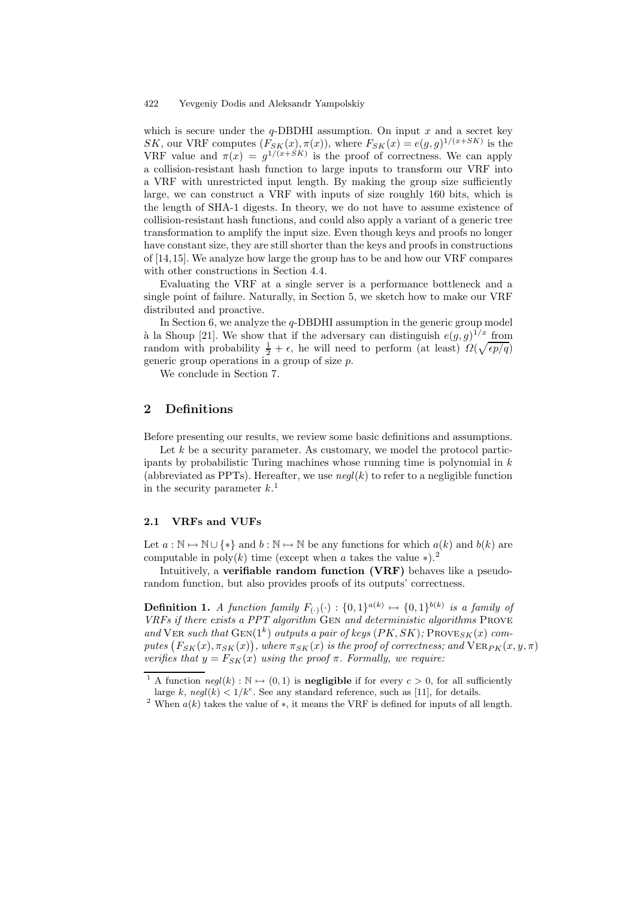which is secure under the  $q$ -DBDHI assumption. On input x and a secret key SK, our VRF computes  $(F_{SK}(x), \pi(x))$ , where  $F_{SK}(x) = e(g, g)^{1/(x+SK)}$  is the VRF value and  $\pi(x) = g^{1/(x+SK)}$  is the proof of correctness. We can apply a collision-resistant hash function to large inputs to transform our VRF into a VRF with unrestricted input length. By making the group size sufficiently large, we can construct a VRF with inputs of size roughly 160 bits, which is the length of SHA-1 digests. In theory, we do not have to assume existence of collision-resistant hash functions, and could also apply a variant of a generic tree transformation to amplify the input size. Even though keys and proofs no longer have constant size, they are still shorter than the keys and proofs in constructions of [14,15]. We analyze how large the group has to be and how our VRF compares with other constructions in Section 4.4.

Evaluating the VRF at a single server is a performance bottleneck and a single point of failure. Naturally, in Section 5, we sketch how to make our VRF distributed and proactive.

In Section 6, we analyze the  $q$ -DBDHI assumption in the generic group model à la Shoup [21]. We show that if the adversary can distinguish  $e(g, g)^{1/x}$  from random with probability  $\frac{1}{2} + \epsilon$ , he will need to perform (at least)  $\Omega(\sqrt{\epsilon p/q})$ generic group operations in a group of size p.

We conclude in Section 7.

## 2 Definitions

Before presenting our results, we review some basic definitions and assumptions.

Let  $k$  be a security parameter. As customary, we model the protocol participants by probabilistic Turing machines whose running time is polynomial in  $k$ (abbreviated as PPTs). Hereafter, we use  $\text{neq}(k)$  to refer to a negligible function in the security parameter  $k<sup>1</sup>$ .

### 2.1 VRFs and VUFs

Let  $a : \mathbb{N} \to \mathbb{N} \cup \{*\}$  and  $b : \mathbb{N} \to \mathbb{N}$  be any functions for which  $a(k)$  and  $b(k)$  are computable in poly $(k)$  time (except when a takes the value  $*$ ).<sup>2</sup>

Intuitively, a verifiable random function (VRF) behaves like a pseudorandom function, but also provides proofs of its outputs' correctness.

**Definition 1.** A function family  $F_{(\cdot)}(\cdot) : \{0,1\}^{a(k)} \mapsto \{0,1\}^{b(k)}$  is a family of VRFs if there exists a PPT algorithm GEN and deterministic algorithms PROVE and VER such that  $GEN(1^k)$  outputs a pair of keys  $(PK, SK)$ ; PROVE<sub>SK</sub>(x) computes  $(F_{SK}(x), \pi_{SK}(x))$ , where  $\pi_{SK}(x)$  is the proof of correctness; and  $\mathrm{VER}_{PK}(x, y, \pi)$ verifies that  $y = F_{SK}(x)$  using the proof  $\pi$ . Formally, we require:

<sup>&</sup>lt;sup>1</sup> A function  $negl(k): \mathbb{N} \mapsto (0, 1)$  is **negligible** if for every  $c > 0$ , for all sufficiently large k,  $negl(k) < 1/k<sup>c</sup>$ . See any standard reference, such as [11], for details.

<sup>&</sup>lt;sup>2</sup> When  $a(k)$  takes the value of  $\ast$ , it means the VRF is defined for inputs of all length.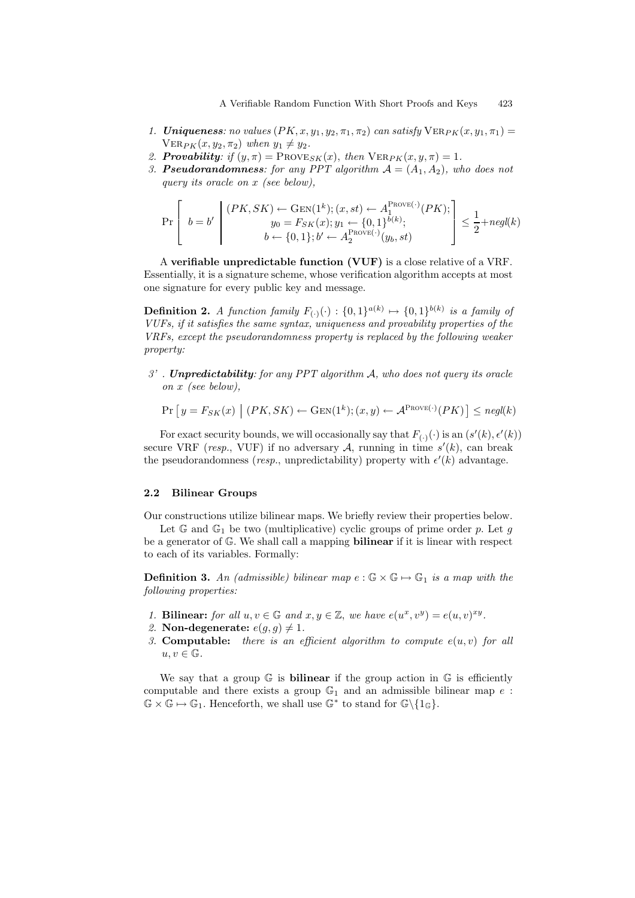- 1. **Uniqueness:** no values  $(PK, x, y_1, y_2, \pi_1, \pi_2)$  can satisfy  $VER_{PK}(x, y_1, \pi_1)$  =  $VER_{PK}(x, y_2, \pi_2)$  when  $y_1 \neq y_2$ .
- 2. **Provability:** if  $(y, \pi) = \text{PROVE}_{SK}(x)$ , then  $\text{VER}_{PK}(x, y, \pi) = 1$ .
- 3. **Pseudorandomness**: for any PPT algorithm  $A = (A_1, A_2)$ , who does not query its oracle on x (see below),

$$
\Pr\left[\begin{array}{c}b=b'\end{array}\middle|\begin{array}{c}(PK,SK)\leftarrow\text{GEN}(1^{k});(x,st)\leftarrow A_{1}^{\text{ProVE}(\cdot)}(PK);\ b=b'\end{array}\middle|\begin{array}{c}B\neq b\end{array}\right]\leq\frac{1}{2}+\text{negl}(k)\\ \begin{array}{c}b\leftarrow\{0,1\};b'\leftarrow A_{2}^{\text{ProVE}(\cdot)}(y_{b},st)\end{array}\right]\leq\frac{1}{2}+\text{negl}(k)
$$

A verifiable unpredictable function (VUF) is a close relative of a VRF. Essentially, it is a signature scheme, whose verification algorithm accepts at most one signature for every public key and message.

**Definition 2.** A function family  $F_{(\cdot)}(\cdot) : \{0,1\}^{a(k)} \mapsto \{0,1\}^{b(k)}$  is a family of VUFs, if it satisfies the same syntax, uniqueness and provability properties of the VRFs, except the pseudorandomness property is replaced by the following weaker property:

 $3'$ . Unpredictability: for any PPT algorithm A, who does not query its oracle on x (see below),

$$
\Pr\left[y = F_{SK}(x) \mid (PK, SK) \leftarrow \text{GEN}(1^k); (x, y) \leftarrow \mathcal{A}^{\text{ProVE}(\cdot)}(PK)\right] \leq \text{negl}(k)
$$

For exact security bounds, we will occasionally say that  $F_{(\cdot)}(\cdot)$  is an  $(s'(k), \epsilon'(k))$ secure VRF (*resp.*, VUF) if no adversary A, running in time  $s'(k)$ , can break the pseudorandomness (resp., unpredictability) property with  $\epsilon'(k)$  advantage.

#### 2.2 Bilinear Groups

Our constructions utilize bilinear maps. We briefly review their properties below.

Let  $\mathbb{G}$  and  $\mathbb{G}_1$  be two (multiplicative) cyclic groups of prime order p. Let g be a generator of G. We shall call a mapping bilinear if it is linear with respect to each of its variables. Formally:

**Definition 3.** An (admissible) bilinear map  $e : \mathbb{G} \times \mathbb{G} \mapsto \mathbb{G}_1$  is a map with the following properties:

- 1. Bilinear: for all  $u, v \in \mathbb{G}$  and  $x, y \in \mathbb{Z}$ , we have  $e(u^x, v^y) = e(u, v)^{xy}$ .
- 2. Non-degenerate:  $e(q, q) \neq 1$ .
- 3. Computable: there is an efficient algorithm to compute  $e(u, v)$  for all  $u, v \in \mathbb{G}$ .

We say that a group  $\mathbb G$  is **bilinear** if the group action in  $\mathbb G$  is efficiently computable and there exists a group  $\mathbb{G}_1$  and an admissible bilinear map e:  $\mathbb{G} \times \mathbb{G} \mapsto \mathbb{G}_1$ . Henceforth, we shall use  $\mathbb{G}^*$  to stand for  $\mathbb{G}\backslash\{1_{\mathbb{G}}\}$ .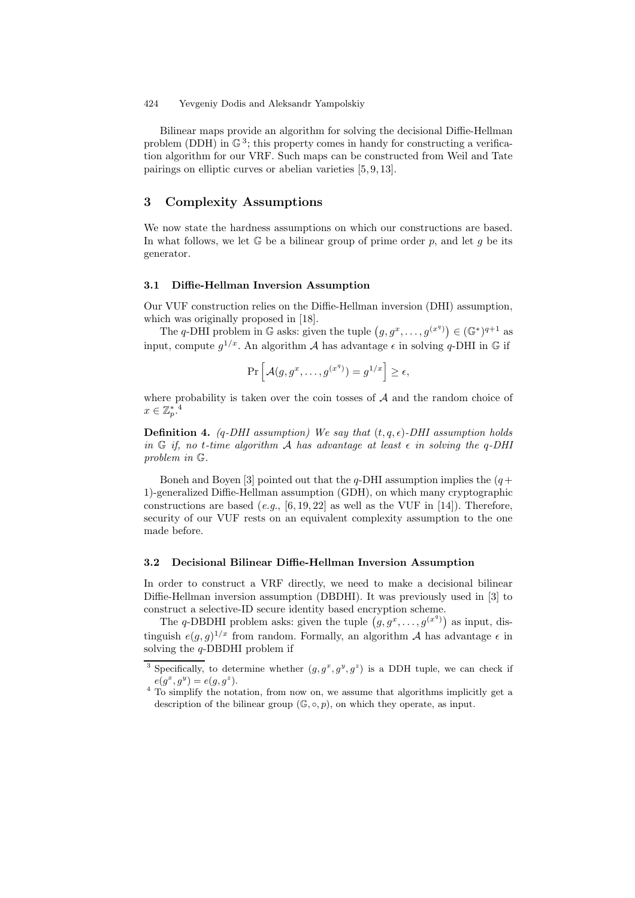Bilinear maps provide an algorithm for solving the decisional Diffie-Hellman problem (DDH) in  $\mathbb{G}^3$ ; this property comes in handy for constructing a verification algorithm for our VRF. Such maps can be constructed from Weil and Tate pairings on elliptic curves or abelian varieties [5, 9, 13].

# 3 Complexity Assumptions

We now state the hardness assumptions on which our constructions are based. In what follows, we let  $\mathbb G$  be a bilinear group of prime order p, and let q be its generator.

### 3.1 Diffie-Hellman Inversion Assumption

Our VUF construction relies on the Diffie-Hellman inversion (DHI) assumption, which was originally proposed in [18].

The q-DHI problem in G asks: given the tuple  $(g, g^x, \ldots, g^{(x^q)}) \in (\mathbb{G}^*)^{q+1}$  as input, compute  $g^{1/x}$ . An algorithm A has advantage  $\epsilon$  in solving  $q$ -DHI in  $\mathbb G$  if

$$
\Pr\left[\mathcal{A}(g, g^x, \dots, g^{(x^q)}) = g^{1/x}\right] \ge \epsilon,
$$

where probability is taken over the coin tosses of  $A$  and the random choice of  $x \in \mathbb{Z}_p^{*}.^4$ 

**Definition 4.** (q-DHI assumption) We say that  $(t, q, \epsilon)$ -DHI assumption holds in G if, no t-time algorithm A has advantage at least  $\epsilon$  in solving the q-DHI problem in G.

Boneh and Boyen [3] pointed out that the q-DHI assumption implies the  $(q+$ 1)-generalized Diffie-Hellman assumption (GDH), on which many cryptographic constructions are based (e.g., [6, 19, 22] as well as the VUF in [14]). Therefore, security of our VUF rests on an equivalent complexity assumption to the one made before.

#### 3.2 Decisional Bilinear Diffie-Hellman Inversion Assumption

In order to construct a VRF directly, we need to make a decisional bilinear Diffie-Hellman inversion assumption (DBDHI). It was previously used in [3] to construct a selective-ID secure identity based encryption scheme.

The q-DBDHI problem asks: given the tuple  $(g, g^x, \ldots, g^{(x^q)})$  as input, distinguish  $e(g, g)^{1/x}$  from random. Formally, an algorithm A has advantage  $\epsilon$  in solving the  $q$ -DBDHI problem if

<sup>&</sup>lt;sup>3</sup> Specifically, to determine whether  $(g, g^x, g^y, g^z)$  is a DDH tuple, we can check if  $e(g^x, g^y) = e(g, g^z).$ 

<sup>&</sup>lt;sup>4</sup> To simplify the notation, from now on, we assume that algorithms implicitly get a description of the bilinear group  $(\mathbb{G}, \circ, p)$ , on which they operate, as input.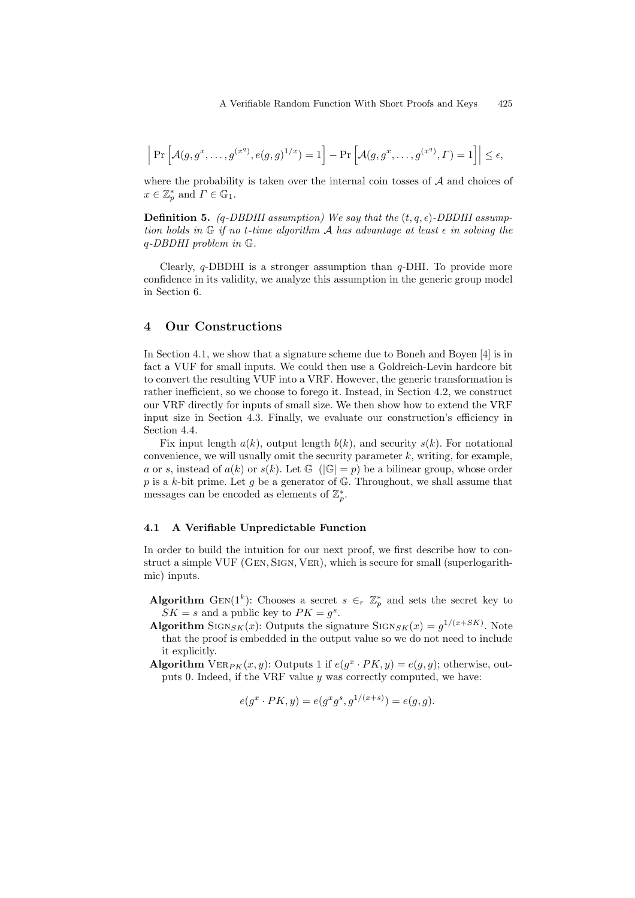$$
\left| \Pr \left[ \mathcal{A}(g, g^x, \dots, g^{(x^q)}, e(g, g)^{1/x}) = 1 \right] - \Pr \left[ \mathcal{A}(g, g^x, \dots, g^{(x^q)}, \Gamma) = 1 \right] \right| \le \epsilon,
$$

where the probability is taken over the internal coin tosses of  $A$  and choices of  $x \in \mathbb{Z}_p^*$  and  $\Gamma \in \mathbb{G}_1$ .

**Definition 5.** (q-DBDHI assumption) We say that the  $(t, q, \epsilon)$ -DBDHI assumption holds in  $\mathbb G$  if no t-time algorithm A has advantage at least  $\epsilon$  in solving the q-DBDHI problem in G.

Clearly,  $q$ -DBDHI is a stronger assumption than  $q$ -DHI. To provide more confidence in its validity, we analyze this assumption in the generic group model in Section 6.

### 4 Our Constructions

In Section 4.1, we show that a signature scheme due to Boneh and Boyen [4] is in fact a VUF for small inputs. We could then use a Goldreich-Levin hardcore bit to convert the resulting VUF into a VRF. However, the generic transformation is rather inefficient, so we choose to forego it. Instead, in Section 4.2, we construct our VRF directly for inputs of small size. We then show how to extend the VRF input size in Section 4.3. Finally, we evaluate our construction's efficiency in Section 4.4.

Fix input length  $a(k)$ , output length  $b(k)$ , and security  $s(k)$ . For notational convenience, we will usually omit the security parameter  $k$ , writing, for example, a or s, instead of  $a(k)$  or  $s(k)$ . Let  $\mathbb{G}(\mathbb{G})=p$  be a bilinear group, whose order p is a k-bit prime. Let g be a generator of  $\mathbb{G}$ . Throughout, we shall assume that messages can be encoded as elements of  $\mathbb{Z}_p^*$ .

### 4.1 A Verifiable Unpredictable Function

In order to build the intuition for our next proof, we first describe how to construct a simple VUF (Gen, Sign, Ver), which is secure for small (superlogarithmic) inputs.

- Algorithm GEN(1<sup>k</sup>): Chooses a secret  $s \in_r \mathbb{Z}_p^*$  and sets the secret key to  $SK = s$  and a public key to  $PK = g<sup>s</sup>$ .
- **Algorithm** SIGN<sub>SK</sub>(x): Outputs the signature SIGN<sub>SK</sub>(x) =  $g^{1/(x+SK)}$ . Note that the proof is embedded in the output value so we do not need to include it explicitly.
- Algorithm  $VER_{PK}(x, y)$ : Outputs 1 if  $e(g^x \cdot PK, y) = e(g, g)$ ; otherwise, outputs 0. Indeed, if the VRF value  $y$  was correctly computed, we have:

$$
e(g^x \cdot PK, y) = e(g^x g^s, g^{1/(x+s)}) = e(g, g).
$$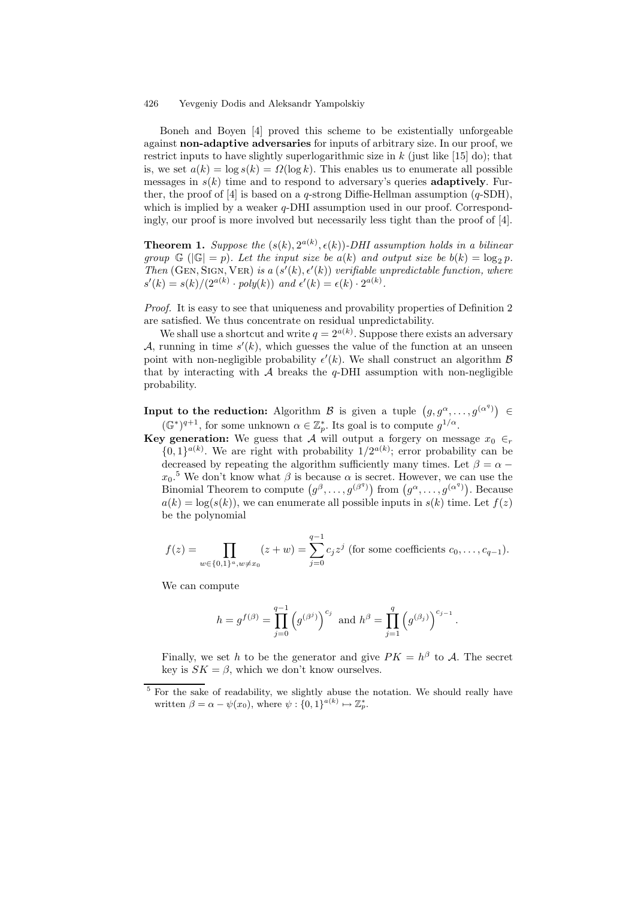Boneh and Boyen [4] proved this scheme to be existentially unforgeable against non-adaptive adversaries for inputs of arbitrary size. In our proof, we restrict inputs to have slightly superlogarithmic size in  $k$  (just like [15] do); that is, we set  $a(k) = \log s(k) = \Omega(\log k)$ . This enables us to enumerate all possible messages in  $s(k)$  time and to respond to adversary's queries **adaptively**. Further, the proof of [4] is based on a q-strong Diffie-Hellman assumption  $(q\text{-SDH})$ , which is implied by a weaker q-DHI assumption used in our proof. Correspondingly, our proof is more involved but necessarily less tight than the proof of [4].

**Theorem 1.** Suppose the  $(s(k), 2^{a(k)}, \epsilon(k))$ -DHI assumption holds in a bilinear group  $\mathbb{G}$  ( $|\mathbb{G}| = p$ ). Let the input size be  $a(k)$  and output size be  $b(k) = \log_2 p$ . Then (GEN, SIGN, VER) is a  $(s'(k), \epsilon'(k))$  verifiable unpredictable function, where  $s'(k) = s(k)/(2^{a(k)} \cdot poly(k))$  and  $\epsilon'(k) = \epsilon(k) \cdot 2^{a(k)}$ .

Proof. It is easy to see that uniqueness and provability properties of Definition 2 are satisfied. We thus concentrate on residual unpredictability.

We shall use a shortcut and write  $q = 2^{a(k)}$ . Suppose there exists an adversary A, running in time  $s'(k)$ , which guesses the value of the function at an unseen point with non-negligible probability  $\epsilon'(k)$ . We shall construct an algorithm  $\beta$ that by interacting with  $A$  breaks the q-DHI assumption with non-negligible probability.

**Input to the reduction:** Algorithm  $\mathcal{B}$  is given a tuple  $(g, g^{\alpha},...,g^{(\alpha^q)}) \in$  $(\mathbb{G}^*)^{q+1}$ , for some unknown  $\alpha \in \mathbb{Z}_p^*$ . Its goal is to compute  $g^{1/\alpha}$ .

**Key generation:** We guess that A will output a forgery on message  $x_0 \in_r$  $\{0,1\}^{a(k)}$ . We are right with probability  $1/2^{a(k)}$ ; error probability can be decreased by repeating the algorithm sufficiently many times. Let  $\beta = \alpha$  –  $x_0$ <sup>5</sup> We don't know what  $\beta$  is because  $\alpha$  is secret. However, we can use the Binomial Theorem to compute  $(g^{\beta}, \ldots, g^{(\beta^q)})$  from  $(g^{\alpha}, \ldots, g^{(\alpha^q)})$ . Because  $a(k) = \log(s(k))$ , we can enumerate all possible inputs in  $s(k)$  time. Let  $f(z)$ be the polynomial

$$
f(z) = \prod_{w \in \{0,1\}^a, w \neq x_0} (z+w) = \sum_{j=0}^{q-1} c_j z^j
$$
 (for some coefficients  $c_0, \ldots, c_{q-1}$ ).

We can compute

$$
h = g^{f(\beta)} = \prod_{j=0}^{q-1} (g^{(\beta^j)})^{c_j}
$$
 and  $h^{\beta} = \prod_{j=1}^{q} (g^{(\beta_j)})^{c_{j-1}}$ .

Finally, we set h to be the generator and give  $PK = h^{\beta}$  to A. The secret key is  $SK = \beta$ , which we don't know ourselves.

<sup>&</sup>lt;sup>5</sup> For the sake of readability, we slightly abuse the notation. We should really have written  $\beta = \alpha - \psi(x_0)$ , where  $\psi : \{0, 1\}^{a(k)} \mapsto \mathbb{Z}_p^*$ .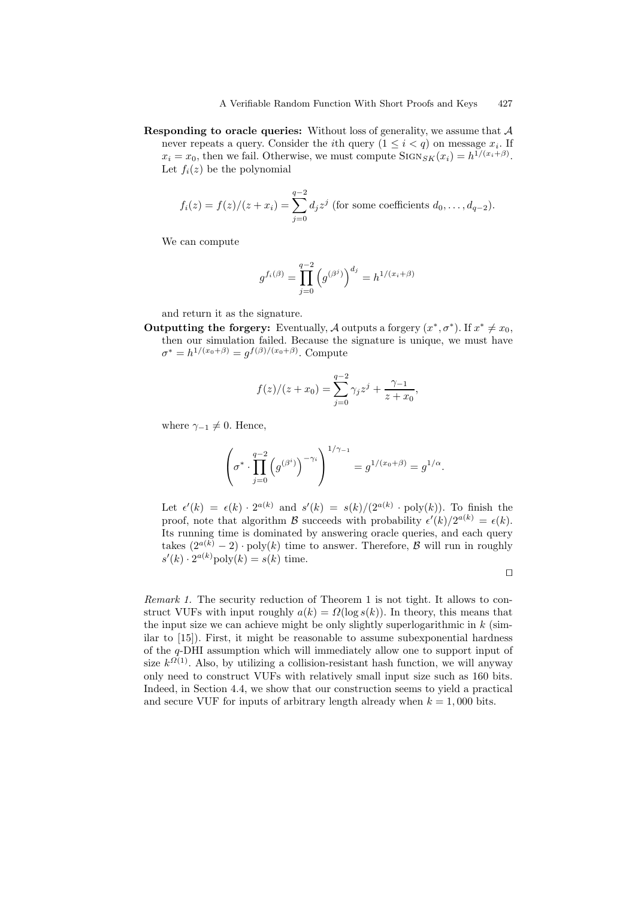**Responding to oracle queries:** Without loss of generality, we assume that  $A$ never repeats a query. Consider the *i*th query  $(1 \leq i < q)$  on message  $x_i$ . If  $x_i = x_0$ , then we fail. Otherwise, we must compute  $\text{SIGN}_{SK}(x_i) = h^{1/(x_i + \beta)}$ . Let  $f_i(z)$  be the polynomial

$$
f_i(z) = f(z)/(z + x_i) = \sum_{j=0}^{q-2} d_j z^j
$$
 (for some coefficients  $d_0, ..., d_{q-2}$ ).

We can compute

$$
g^{f_i(\beta)} = \prod_{j=0}^{q-2} \left( g^{(\beta^j)} \right)^{d_j} = h^{1/(x_i + \beta)}
$$

and return it as the signature.

**Outputting the forgery:** Eventually, A outputs a forgery  $(x^*, \sigma^*)$ . If  $x^* \neq x_0$ , then our simulation failed. Because the signature is unique, we must have  $\sigma^* = h^{1/(x_0+\beta)} = g^{f(\beta)/(x_0+\beta)}$ . Compute

$$
f(z)/(z+x_0) = \sum_{j=0}^{q-2} \gamma_j z^j + \frac{\gamma_{-1}}{z+x_0},
$$

where  $\gamma_{-1} \neq 0$ . Hence,

$$
\left(\sigma^* \cdot \prod_{j=0}^{q-2} \left(g^{(\beta^i)}\right)^{-\gamma_i}\right)^{1/\gamma_{-1}} = g^{1/(x_0+\beta)} = g^{1/\alpha}
$$

Let  $\epsilon'(k) = \epsilon(k) \cdot 2^{a(k)}$  and  $s'(k) = s(k)/(2^{a(k)} \cdot \text{poly}(k))$ . To finish the proof, note that algorithm B succeeds with probability  $\epsilon'(k)/2^{a(k)} = \epsilon(k)$ . Its running time is dominated by answering oracle queries, and each query takes  $(2^{a(k)} - 2) \cdot \text{poly}(k)$  time to answer. Therefore,  $\beta$  will run in roughly  $s'(k) \cdot 2^{a(k)}$ poly $(k) = s(k)$  time.

$$
\Box
$$

.

Remark 1. The security reduction of Theorem 1 is not tight. It allows to construct VUFs with input roughly  $a(k) = \Omega(\log s(k))$ . In theory, this means that the input size we can achieve might be only slightly superlogarithmic in  $k$  (similar to [15]). First, it might be reasonable to assume subexponential hardness of the q-DHI assumption which will immediately allow one to support input of size  $k^{\Omega(1)}$ . Also, by utilizing a collision-resistant hash function, we will anyway only need to construct VUFs with relatively small input size such as 160 bits. Indeed, in Section 4.4, we show that our construction seems to yield a practical and secure VUF for inputs of arbitrary length already when  $k = 1,000$  bits.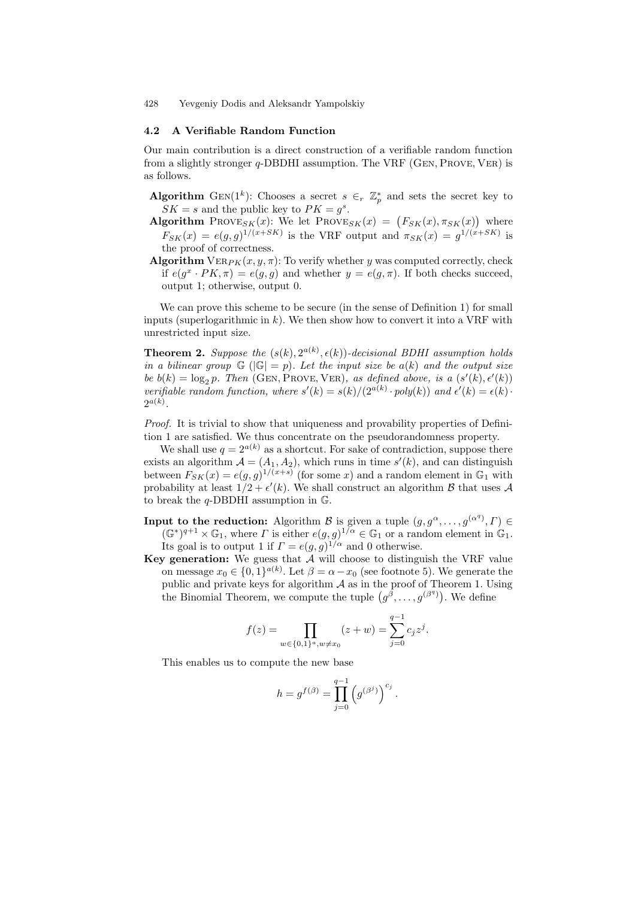#### 4.2 A Verifiable Random Function

Our main contribution is a direct construction of a verifiable random function from a slightly stronger q-DBDHI assumption. The VRF (Gen, Prove, Ver) is as follows.

- Algorithm GEN(1<sup>k</sup>): Chooses a secret  $s \in_r \mathbb{Z}_p^*$  and sets the secret key to  $SK = s$  and the public key to  $PK = g<sup>s</sup>$ .
- **Algorithm** PROVE<sub>SK</sub>(x): We let PROVE<sub>SK</sub>(x) =  $(F_{SK}(x), \pi_{SK}(x))$  where  $F_{SK}(x) = e(g, g)^{1/(x+SK)}$  is the VRF output and  $\pi_{SK}(x) = g^{1/(x+SK)}$  is the proof of correctness.
- Algorithm  $VER_{PK}(x, y, \pi)$ : To verify whether y was computed correctly, check if  $e(g^x \cdot PK, \pi) = e(g, g)$  and whether  $y = e(g, \pi)$ . If both checks succeed, output 1; otherwise, output 0.

We can prove this scheme to be secure (in the sense of Definition 1) for small inputs (superlogarithmic in  $k$ ). We then show how to convert it into a VRF with unrestricted input size.

**Theorem 2.** Suppose the  $(s(k), 2^{a(k)}, \epsilon(k))$ -decisional BDHI assumption holds in a bilinear group  $\mathbb{G}$  ( $|\mathbb{G}| = p$ ). Let the input size be  $a(k)$  and the output size be  $b(k) = \log_2 p$ . Then (GEN, PROVE, VER), as defined above, is a  $(s'(k), \epsilon'(k))$ verifiable random function, where  $s'(k) = s(k)/(2^{a(k)} \cdot poly(k))$  and  $\epsilon'(k) = \epsilon(k) \cdot$  $2^{a(k)}$ .

Proof. It is trivial to show that uniqueness and provability properties of Definition 1 are satisfied. We thus concentrate on the pseudorandomness property.

We shall use  $q = 2^{a(k)}$  as a shortcut. For sake of contradiction, suppose there exists an algorithm  $A = (A_1, A_2)$ , which runs in time  $s'(k)$ , and can distinguish between  $F_{SK}(x) = e(g, g)^{1/(x+s)}$  (for some x) and a random element in  $\mathbb{G}_1$  with probability at least  $1/2 + \epsilon'(k)$ . We shall construct an algorithm  $\beta$  that uses  $\mathcal A$ to break the  $q$ -DBDHI assumption in  $\mathbb{G}$ .

**Input to the reduction:** Algorithm B is given a tuple  $(g, g^{\alpha}, \ldots, g^{(\alpha^q)}, \Gamma) \in$  $(\mathbb{G}^*)^{q+1} \times \mathbb{G}_1$ , where  $\Gamma$  is either  $e(g, g)^{1/\alpha} \in \mathbb{G}_1$  or a random element in  $\mathbb{G}_1$ .

Its goal is to output 1 if  $\Gamma = e(g, g)^{1/\alpha}$  and 0 otherwise. Key generation: We guess that  $\tilde{A}$  will choose to distinguish the VRF value

on message  $x_0 \in \{0,1\}^{a(k)}$ . Let  $\beta = \alpha - x_0$  (see footnote 5). We generate the public and private keys for algorithm  $A$  as in the proof of Theorem 1. Using the Binomial Theorem, we compute the tuple  $(g^{\tilde{\beta}}, \ldots, g^{(\beta^q)})$ . We define

$$
f(z) = \prod_{w \in \{0,1\}^a, w \neq x_0} (z+w) = \sum_{j=0}^{q-1} c_j z^j.
$$

This enables us to compute the new base

$$
h = g^{f(\beta)} = \prod_{j=0}^{q-1} (g^{(\beta^j)})^{c_j}.
$$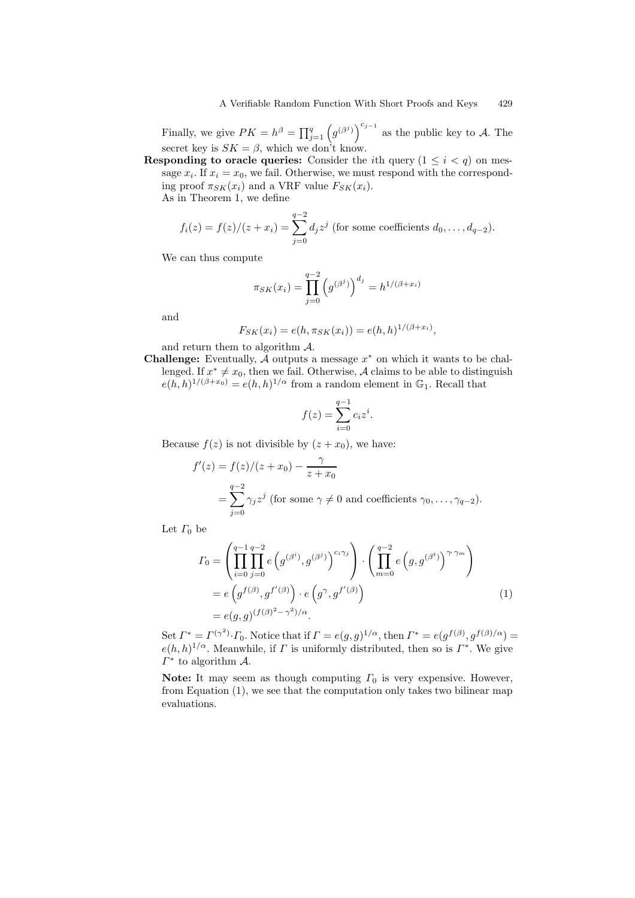Finally, we give  $PK = h^{\beta} = \prod_{j=1}^{q} (g^{(\beta^j)})^{c_{j-1}}$  as the public key to A. The secret key is  $SK = \beta$ , which we don't know.

**Responding to oracle queries:** Consider the *i*th query  $(1 \leq i \leq q)$  on message  $x_i$ . If  $x_i = x_0$ , we fail. Otherwise, we must respond with the corresponding proof  $\pi_{SK}(x_i)$  and a VRF value  $F_{SK}(x_i)$ .

As in Theorem 1, we define

$$
f_i(z) = f(z)/(z + x_i) = \sum_{j=0}^{q-2} d_j z^j
$$
 (for some coefficients  $d_0, ..., d_{q-2}$ ).

We can thus compute

$$
\pi_{SK}(x_i) = \prod_{j=0}^{q-2} (g^{(\beta^j)})^{d_j} = h^{1/(\beta + x_i)}
$$

and

$$
F_{SK}(x_i) = e(h, \pi_{SK}(x_i)) = e(h, h)^{1/(\beta + x_i)},
$$

and return them to algorithm A.

**Challenge:** Eventually,  $\mathcal A$  outputs a message  $x^*$  on which it wants to be challenged. If  $x^* \neq x_0$ , then we fail. Otherwise, A claims to be able to distinguish  $e(h, h)^{1/(\beta + x_0)} = e(h, h)^{1/\alpha}$  from a random element in  $\mathbb{G}_1$ . Recall that

$$
f(z) = \sum_{i=0}^{q-1} c_i z^i.
$$

Because  $f(z)$  is not divisible by  $(z + x_0)$ , we have:

$$
f'(z) = f(z)/(z + x_0) - \frac{\gamma}{z + x_0}
$$
  
= 
$$
\sum_{j=0}^{q-2} \gamma_j z^j
$$
 (for some  $\gamma \neq 0$  and coefficients  $\gamma_0, \dots, \gamma_{q-2}$ ).

Let  $\Gamma_0$  be

$$
I_0 = \left(\prod_{i=0}^{q-1} \prod_{j=0}^{q-2} e\left(g^{(\beta^i)}, g^{(\beta^j)}\right)^{c_i \gamma_j}\right) \cdot \left(\prod_{m=0}^{q-2} e\left(g, g^{(\beta^t)}\right)^{\gamma \gamma_m}\right)
$$
  
=  $e\left(g^{f(\beta)}, g^{f'(\beta)}\right) \cdot e\left(g^{\gamma}, g^{f'(\beta)}\right)$   
=  $e(g, g)^{(f(\beta)^2 - \gamma^2)/\alpha}.$  (1)

Set  $\Gamma^* = \Gamma^{(\gamma^2)} \cdot \Gamma_0$ . Notice that if  $\Gamma = e(g, g)^{1/\alpha}$ , then  $\Gamma^* = e(g^{f(\beta)}, g^{f(\beta)/\alpha}) =$  $e(h, h)^{1/\alpha}$ . Meanwhile, if  $\Gamma$  is uniformly distributed, then so is  $\Gamma^*$ . We give  $\Gamma^*$  to algorithm  $\mathcal{A}$ .

Note: It may seem as though computing  $\Gamma_0$  is very expensive. However, from Equation (1), we see that the computation only takes two bilinear map evaluations.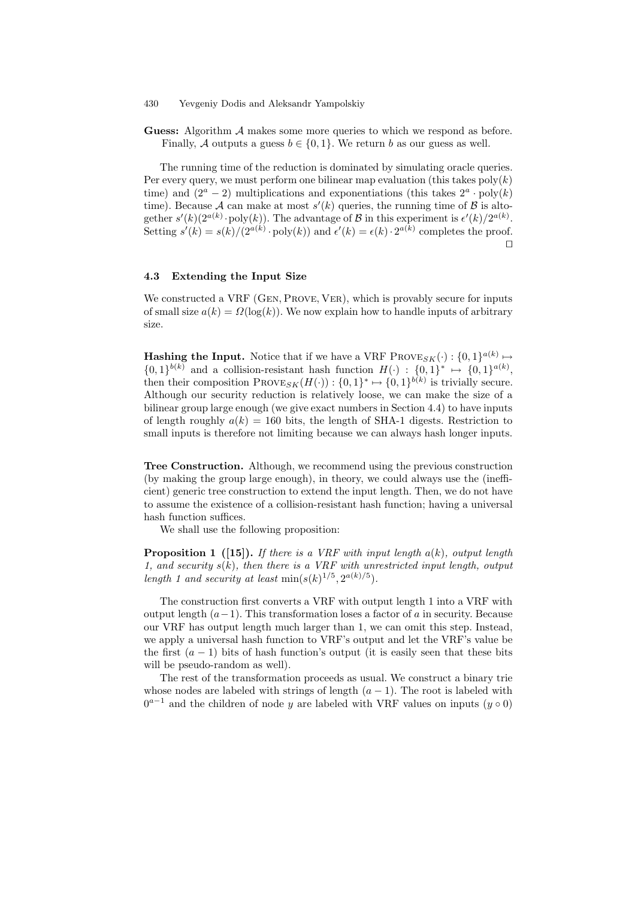Guess: Algorithm A makes some more queries to which we respond as before. Finally, A outputs a guess  $b \in \{0, 1\}$ . We return b as our guess as well.

The running time of the reduction is dominated by simulating oracle queries. Per every query, we must perform one bilinear map evaluation (this takes  $poly(k)$ ) time) and  $(2^a - 2)$  multiplications and exponentiations (this takes  $2^a \cdot \text{poly}(k)$ time). Because A can make at most  $s'(k)$  queries, the running time of B is altogether  $s'(k)(2^{a(k)} \cdot \text{poly}(k))$ . The advantage of B in this experiment is  $\epsilon'(k)/2^{a(k)}$ . Setting  $s'(k) = s(k)/(2^{a(k)} \cdot \text{poly}(k))$  and  $\epsilon'(k) = \epsilon(k) \cdot 2^{a(k)}$  completes the proof.  $\Box$ 

### 4.3 Extending the Input Size

We constructed a VRF (GEN, PROVE, VER), which is provably secure for inputs of small size  $a(k) = \Omega(\log(k))$ . We now explain how to handle inputs of arbitrary size.

**Hashing the Input.** Notice that if we have a VRF PROVESK( $\cdot$ ):  $\{0,1\}^{a(k)} \mapsto$  $\{0,1\}^{b(k)}$  and a collision-resistant hash function  $H(\cdot) : \{0,1\}^* \mapsto \{0,1\}^{a(k)}$ , then their composition  $\text{Prove}_{SK}(H(\cdot)) : \{0,1\}^* \mapsto \{0,1\}^{b(k)}$  is trivially secure. Although our security reduction is relatively loose, we can make the size of a bilinear group large enough (we give exact numbers in Section 4.4) to have inputs of length roughly  $a(k) = 160$  bits, the length of SHA-1 digests. Restriction to small inputs is therefore not limiting because we can always hash longer inputs.

Tree Construction. Although, we recommend using the previous construction (by making the group large enough), in theory, we could always use the (inefficient) generic tree construction to extend the input length. Then, we do not have to assume the existence of a collision-resistant hash function; having a universal hash function suffices.

We shall use the following proposition:

**Proposition 1** ([15]). If there is a VRF with input length  $a(k)$ , output length 1, and security  $s(k)$ , then there is a VRF with unrestricted input length, output length 1 and security at least  $\min(s(k)^{1/5}, 2^{a(k)/5})$ .

The construction first converts a VRF with output length 1 into a VRF with output length  $(a-1)$ . This transformation loses a factor of a in security. Because our VRF has output length much larger than 1, we can omit this step. Instead, we apply a universal hash function to VRF's output and let the VRF's value be the first  $(a - 1)$  bits of hash function's output (it is easily seen that these bits will be pseudo-random as well).

The rest of the transformation proceeds as usual. We construct a binary trie whose nodes are labeled with strings of length  $(a - 1)$ . The root is labeled with  $0^{a-1}$  and the children of node y are labeled with VRF values on inputs  $(y \circ 0)$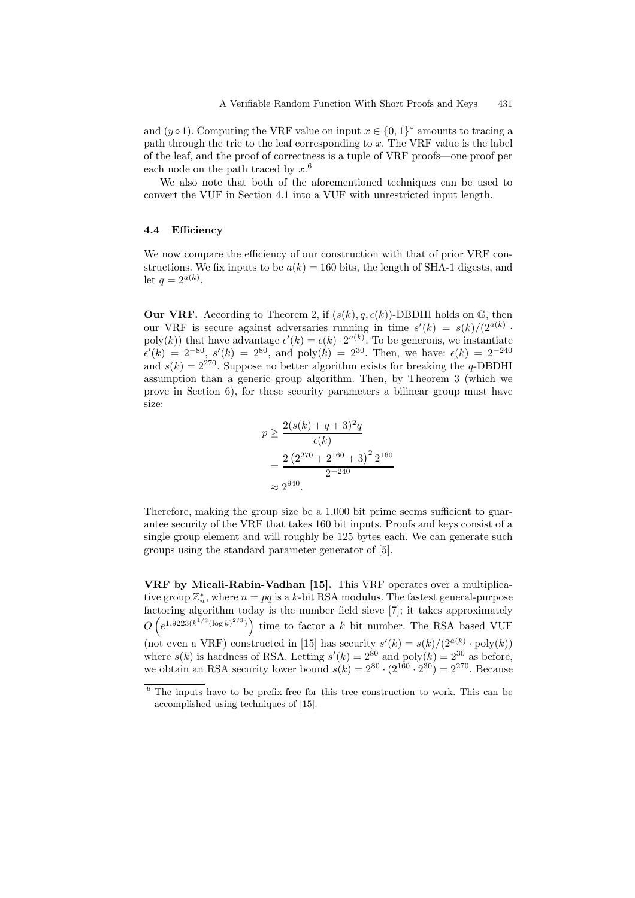and (y  $\circ$ 1). Computing the VRF value on input  $x \in \{0,1\}^*$  amounts to tracing a path through the trie to the leaf corresponding to x. The VRF value is the label of the leaf, and the proof of correctness is a tuple of VRF proofs—one proof per each node on the path traced by  $x<sup>6</sup>$ 

We also note that both of the aforementioned techniques can be used to convert the VUF in Section 4.1 into a VUF with unrestricted input length.

### 4.4 Efficiency

We now compare the efficiency of our construction with that of prior VRF constructions. We fix inputs to be  $a(k) = 160$  bits, the length of SHA-1 digests, and let  $q = 2^{a(k)}$ .

**Our VRF.** According to Theorem 2, if  $(s(k), q, \epsilon(k))$ -DBDHI holds on G, then our VRF is secure against adversaries running in time  $s'(k) = s(k)/(2^{a(k)})$ . poly(k)) that have advantage  $\epsilon'(k) = \epsilon(k) \cdot 2^{a(k)}$ . To be generous, we instantiate  $\epsilon'(k) = 2^{-80}, s'(k) = 2^{80}, \text{ and } \text{poly}(k) = 2^{30}. \text{ Then, we have: } \epsilon(k) = 2^{-240}$ and  $s(k) = 2^{270}$ . Suppose no better algorithm exists for breaking the q-DBDHI assumption than a generic group algorithm. Then, by Theorem 3 (which we prove in Section 6), for these security parameters a bilinear group must have size:

$$
p \ge \frac{2(s(k) + q + 3)^2 q}{\epsilon(k)}
$$
  
= 
$$
\frac{2 (2^{270} + 2^{160} + 3)^2 2^{160}}{2^{-240}}
$$
  
\approx 2<sup>940</sup>.

Therefore, making the group size be a 1,000 bit prime seems sufficient to guarantee security of the VRF that takes 160 bit inputs. Proofs and keys consist of a single group element and will roughly be 125 bytes each. We can generate such groups using the standard parameter generator of [5].

VRF by Micali-Rabin-Vadhan [15]. This VRF operates over a multiplicative group  $\mathbb{Z}_n^*$ , where  $n = pq$  is a k-bit RSA modulus. The fastest general-purpose factoring algorithm today is the number field sieve [7]; it takes approximately  $O\left(e^{1.9223(k^{1/3}(\log k)^{2/3})}\right)$  time to factor a k bit number. The RSA based VUF (not even a VRF) constructed in [15] has security  $s'(k) = s(k)/(2^{a(k)} \cdot \text{poly}(k))$ where  $s(k)$  is hardness of RSA. Letting  $s'(k) = 2^{80}$  and  $\text{poly}(k) = 2^{30}$  as before, we obtain an RSA security lower bound  $s(k) = 2^{80} \cdot (2^{160} \cdot 2^{30}) = 2^{270}$ . Because

 $6$  The inputs have to be prefix-free for this tree construction to work. This can be accomplished using techniques of [15].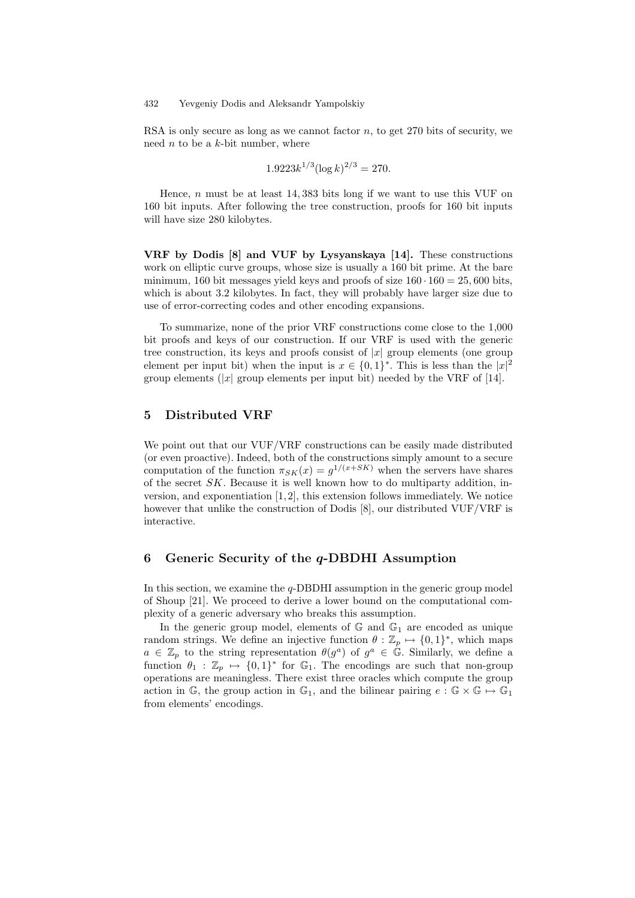RSA is only secure as long as we cannot factor  $n$ , to get 270 bits of security, we need  $n$  to be a  $k$ -bit number, where

$$
1.9223k^{1/3}(\log k)^{2/3} = 270.
$$

Hence, n must be at least  $14,383$  bits long if we want to use this VUF on 160 bit inputs. After following the tree construction, proofs for 160 bit inputs will have size 280 kilobytes.

VRF by Dodis [8] and VUF by Lysyanskaya [14]. These constructions work on elliptic curve groups, whose size is usually a 160 bit prime. At the bare minimum, 160 bit messages yield keys and proofs of size  $160 \cdot 160 = 25,600$  bits, which is about 3.2 kilobytes. In fact, they will probably have larger size due to use of error-correcting codes and other encoding expansions.

To summarize, none of the prior VRF constructions come close to the 1,000 bit proofs and keys of our construction. If our VRF is used with the generic tree construction, its keys and proofs consist of  $|x|$  group elements (one group element per input bit) when the input is  $x \in \{0,1\}^*$ . This is less than the  $|x|^2$ group elements (|x| group elements per input bit) needed by the VRF of [14].

# 5 Distributed VRF

We point out that our VUF/VRF constructions can be easily made distributed (or even proactive). Indeed, both of the constructions simply amount to a secure computation of the function  $\pi_{SK}(x) = g^{1/(x+SK)}$  when the servers have shares of the secret  $SK$ . Because it is well known how to do multiparty addition, inversion, and exponentiation  $[1,2]$ , this extension follows immediately. We notice however that unlike the construction of Dodis [8], our distributed VUF/VRF is interactive.

## 6 Generic Security of the  $q$ -DBDHI Assumption

In this section, we examine the  $q$ -DBDHI assumption in the generic group model of Shoup [21]. We proceed to derive a lower bound on the computational complexity of a generic adversary who breaks this assumption.

In the generic group model, elements of  $\mathbb{G}$  and  $\mathbb{G}_1$  are encoded as unique random strings. We define an injective function  $\theta : \mathbb{Z}_p \mapsto \{0,1\}^*$ , which maps  $a \in \mathbb{Z}_p$  to the string representation  $\theta(g^a)$  of  $g^a \in \mathbb{G}$ . Similarly, we define a function  $\theta_1 : \mathbb{Z}_p \mapsto \{0, 1\}^*$  for  $\mathbb{G}_1$ . The encodings are such that non-group operations are meaningless. There exist three oracles which compute the group action in G, the group action in G<sub>1</sub>, and the bilinear pairing  $e : \mathbb{G} \times \mathbb{G} \mapsto \mathbb{G}_1$ from elements' encodings.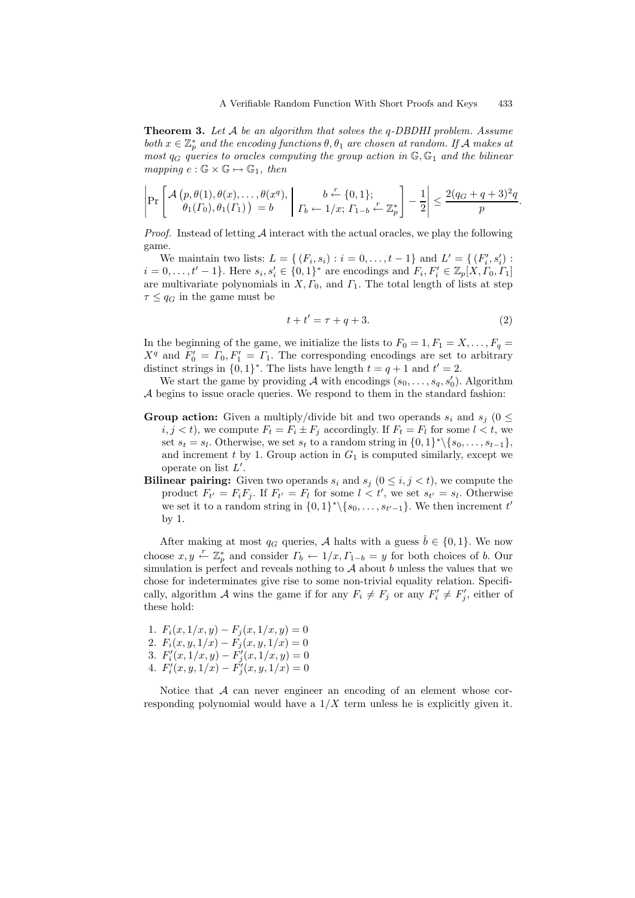**Theorem 3.** Let A be an algorithm that solves the  $q$ -DBDHI problem. Assume both  $x \in \mathbb{Z}_p^*$  and the encoding functions  $\theta$ ,  $\theta_1$  are chosen at random. If A makes at most  $q_G$  queries to oracles computing the group action in  $\mathbb{G}, \mathbb{G}_1$  and the bilinear mapping  $e : \mathbb{G} \times \mathbb{G} \mapsto \mathbb{G}_1$ , then

$$
\left|\Pr\left[\frac{\mathcal{A}\left(p,\theta(1),\theta(x),\ldots,\theta(x^q),\left(\begin{array}{c}b\stackrel{r}{\leftarrow}\{0,1\};\\ \theta_1(\Gamma_0),\theta_1(\Gamma_1)\end{array}\right)=b\right|\right|\Gamma_b\leftarrow 1/x;\Gamma_{1-b}\stackrel{r}{\leftarrow}\mathbb{Z}_p^*\right]-\frac{1}{2}\right|\leq \frac{2(q_G+q+3)^2q}{p}
$$

*Proof.* Instead of letting  $A$  interact with the actual oracles, we play the following game.

We maintain two lists:  $L = \{ (F_i, s_i) : i = 0, ..., t-1 \}$  and  $L' = \{ (F'_i, s'_i) : i = 0, ..., t-1 \}$  $i = 0, \ldots, t' - 1$ . Here  $s_i, s'_i \in \{0, 1\}^*$  are encodings and  $F_i, F'_i \in \mathbb{Z}_p[X, \Gamma_0, \Gamma_1]$ are multivariate polynomials in  $X, \Gamma_0$ , and  $\Gamma_1$ . The total length of lists at step  $\tau \leq q_G$  in the game must be

$$
t + t' = \tau + q + 3.\tag{2}
$$

.

In the beginning of the game, we initialize the lists to  $F_0 = 1, F_1 = X, \ldots, F_q =$  $X^q$  and  $F'_0 = \Gamma_0, F'_1 = \Gamma_1$ . The corresponding encodings are set to arbitrary distinct strings in  $\{0, 1\}^*$ . The lists have length  $t = q + 1$  and  $t' = 2$ .

We start the game by providing A with encodings  $(s_0, \ldots, s_q, s'_0)$ . Algorithm  $\mathcal A$  begins to issue oracle queries. We respond to them in the standard fashion:

- **Group action:** Given a multiply/divide bit and two operands  $s_i$  and  $s_j$  (0  $\leq$  $i, j < t$ , we compute  $F_t = F_i \pm F_j$  accordingly. If  $F_t = F_l$  for some  $l < t$ , we set  $s_t = s_l$ . Otherwise, we set  $s_t$  to a random string in  $\{0, 1\}^* \setminus \{s_0, \ldots, s_{t-1}\},$ and increment  $t$  by 1. Group action in  $G_1$  is computed similarly, except we operate on list  $L'$ .
- **Bilinear pairing:** Given two operands  $s_i$  and  $s_j$  ( $0 \leq i, j \leq t$ ), we compute the product  $F_{t'} = F_i F_j$ . If  $F_{t'} = F_l$  for some  $l < t'$ , we set  $s_{t'} = s_l$ . Otherwise we set it to a random string in  $\{0,1\}^* \setminus \{s_0, \ldots, s_{t'-1}\}.$  We then increment  $t'$ by 1.

After making at most  $q_G$  queries, A halts with a guess  $\hat{b} \in \{0, 1\}$ . We now choose  $x, y \leftarrow \mathbb{Z}_p^*$  and consider  $\Gamma_b \leftarrow 1/x, \Gamma_{1-b} = y$  for both choices of b. Our simulation is perfect and reveals nothing to  $A$  about b unless the values that we chose for indeterminates give rise to some non-trivial equality relation. Specifically, algorithm A wins the game if for any  $F_i \neq F_j$  or any  $F'_i \neq F'_j$ , either of these hold:

1.  $F_i(x, 1/x, y) - F_i(x, 1/x, y) = 0$ 2.  $F_i(x, y, 1/x) - F_j(x, y, 1/x) = 0$ 3.  $F'_{i}(x,1/x,y) - F'_{j}(x,1/x,y) = 0$ 4.  $F_i'(x, y, 1/x) - F_j'(x, y, 1/x) = 0$ 

Notice that  $A$  can never engineer an encoding of an element whose corresponding polynomial would have a  $1/X$  term unless he is explicitly given it.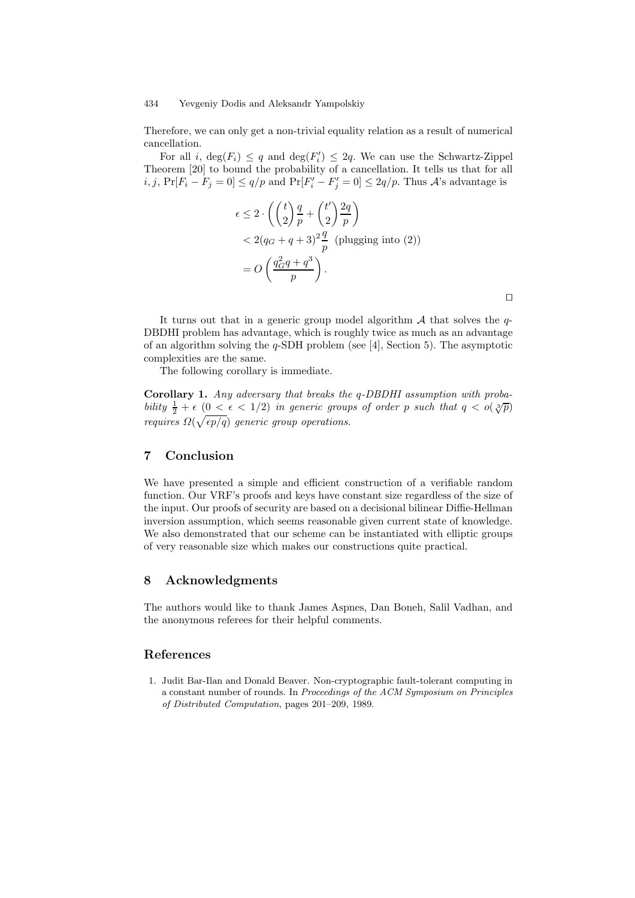Therefore, we can only get a non-trivial equality relation as a result of numerical cancellation.

For all *i*,  $\deg(F_i) \leq q$  and  $\deg(F'_i) \leq 2q$ . We can use the Schwartz-Zippel Theorem [20] to bound the probability of a cancellation. It tells us that for all  $i, j$ ,  $Pr[F_i - F_j = 0] \le q/p$  and  $Pr[F'_i - F'_j = 0] \le 2q/p$ . Thus A's advantage is

$$
\epsilon \le 2 \cdot \left( \left( \frac{t}{2} \right) \frac{q}{p} + \left( \frac{t'}{2} \right) \frac{2q}{p} \right)
$$
  
< 
$$
< 2(q_G + q + 3)^2 \frac{q}{p}
$$
 (plugging into (2))  

$$
= O\left( \frac{q_G^2 q + q^3}{p} \right).
$$

 $\Box$ 

It turns out that in a generic group model algorithm  $A$  that solves the  $q$ -DBDHI problem has advantage, which is roughly twice as much as an advantage of an algorithm solving the  $q$ -SDH problem (see [4], Section 5). The asymptotic complexities are the same.

The following corollary is immediate.

Corollary 1. Any adversary that breaks the q-DBDHI assumption with probability  $\frac{1}{2} + \epsilon$  ( $0 < \epsilon < 1/2$ ) in generic groups of order p such that  $q < o(\sqrt[3]{p})$ requires  $\Omega(\sqrt{\epsilon p/q})$  generic group operations.

# 7 Conclusion

We have presented a simple and efficient construction of a verifiable random function. Our VRF's proofs and keys have constant size regardless of the size of the input. Our proofs of security are based on a decisional bilinear Diffie-Hellman inversion assumption, which seems reasonable given current state of knowledge. We also demonstrated that our scheme can be instantiated with elliptic groups of very reasonable size which makes our constructions quite practical.

# 8 Acknowledgments

The authors would like to thank James Aspnes, Dan Boneh, Salil Vadhan, and the anonymous referees for their helpful comments.

# References

1. Judit Bar-Ilan and Donald Beaver. Non-cryptographic fault-tolerant computing in a constant number of rounds. In Proceedings of the ACM Symposium on Principles of Distributed Computation, pages 201–209, 1989.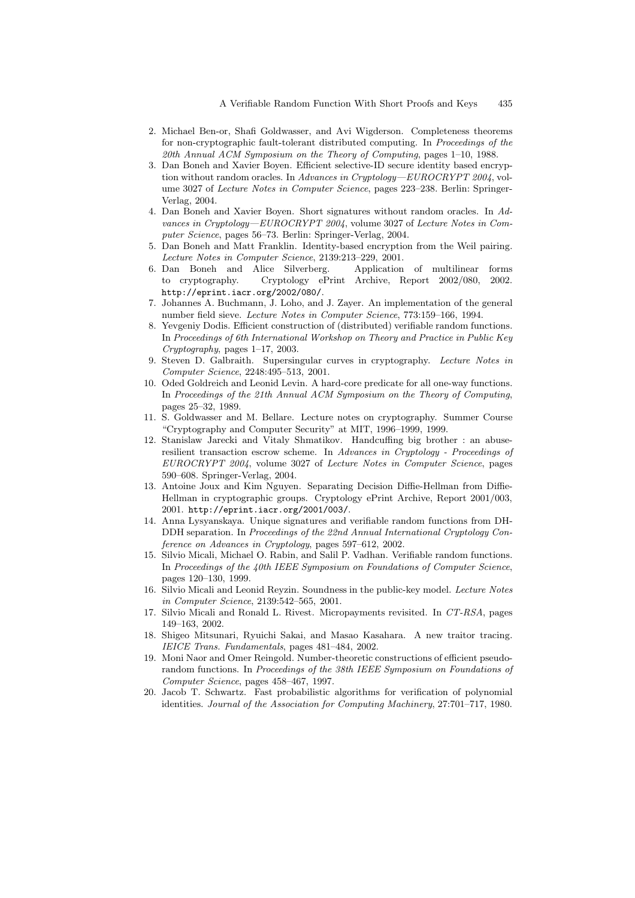- 2. Michael Ben-or, Shafi Goldwasser, and Avi Wigderson. Completeness theorems for non-cryptographic fault-tolerant distributed computing. In Proceedings of the 20th Annual ACM Symposium on the Theory of Computing, pages 1–10, 1988.
- 3. Dan Boneh and Xavier Boyen. Efficient selective-ID secure identity based encryption without random oracles. In Advances in Cryptology—EUROCRYPT 2004, volume 3027 of Lecture Notes in Computer Science, pages 223–238. Berlin: Springer-Verlag, 2004.
- 4. Dan Boneh and Xavier Boyen. Short signatures without random oracles. In Advances in Cryptology—EUROCRYPT 2004, volume 3027 of Lecture Notes in Computer Science, pages 56–73. Berlin: Springer-Verlag, 2004.
- 5. Dan Boneh and Matt Franklin. Identity-based encryption from the Weil pairing. Lecture Notes in Computer Science, 2139:213–229, 2001.<br>Dan Boneh and Alice Silverberg. Application of multilinear forms
- 6. Dan Boneh and Alice Silverberg. to cryptography. Cryptology ePrint Archive, Report 2002/080, 2002. http://eprint.iacr.org/2002/080/.
- 7. Johannes A. Buchmann, J. Loho, and J. Zayer. An implementation of the general number field sieve. Lecture Notes in Computer Science, 773:159–166, 1994.
- 8. Yevgeniy Dodis. Efficient construction of (distributed) verifiable random functions. In Proceedings of 6th International Workshop on Theory and Practice in Public Key Cryptography, pages 1–17, 2003.
- 9. Steven D. Galbraith. Supersingular curves in cryptography. Lecture Notes in Computer Science, 2248:495–513, 2001.
- 10. Oded Goldreich and Leonid Levin. A hard-core predicate for all one-way functions. In Proceedings of the 21th Annual ACM Symposium on the Theory of Computing, pages 25–32, 1989.
- 11. S. Goldwasser and M. Bellare. Lecture notes on cryptography. Summer Course "Cryptography and Computer Security" at MIT, 1996–1999, 1999.
- 12. Stanislaw Jarecki and Vitaly Shmatikov. Handcuffing big brother : an abuseresilient transaction escrow scheme. In Advances in Cryptology - Proceedings of EUROCRYPT 2004, volume 3027 of Lecture Notes in Computer Science, pages 590–608. Springer-Verlag, 2004.
- 13. Antoine Joux and Kim Nguyen. Separating Decision Diffie-Hellman from Diffie-Hellman in cryptographic groups. Cryptology ePrint Archive, Report 2001/003, 2001. http://eprint.iacr.org/2001/003/.
- 14. Anna Lysyanskaya. Unique signatures and verifiable random functions from DH-DDH separation. In Proceedings of the 22nd Annual International Cryptology Conference on Advances in Cryptology, pages 597–612, 2002.
- 15. Silvio Micali, Michael O. Rabin, and Salil P. Vadhan. Verifiable random functions. In Proceedings of the 40th IEEE Symposium on Foundations of Computer Science, pages 120–130, 1999.
- 16. Silvio Micali and Leonid Reyzin. Soundness in the public-key model. Lecture Notes in Computer Science, 2139:542–565, 2001.
- 17. Silvio Micali and Ronald L. Rivest. Micropayments revisited. In CT-RSA, pages 149–163, 2002.
- 18. Shigeo Mitsunari, Ryuichi Sakai, and Masao Kasahara. A new traitor tracing. IEICE Trans. Fundamentals, pages 481–484, 2002.
- 19. Moni Naor and Omer Reingold. Number-theoretic constructions of efficient pseudorandom functions. In Proceedings of the 38th IEEE Symposium on Foundations of Computer Science, pages 458–467, 1997.
- 20. Jacob T. Schwartz. Fast probabilistic algorithms for verification of polynomial identities. Journal of the Association for Computing Machinery, 27:701–717, 1980.